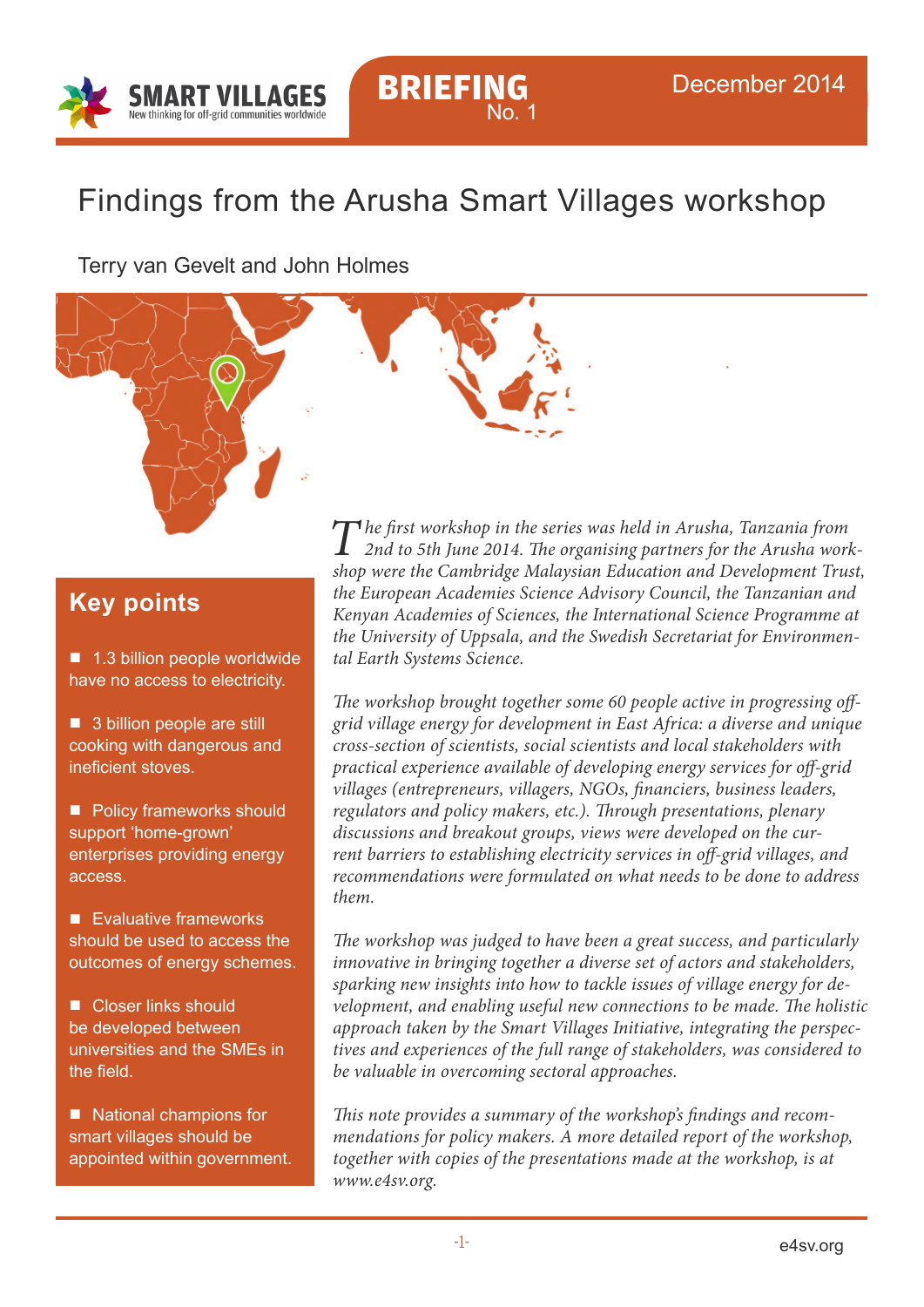

# Findings from the Arusha Smart Villages workshop

No. 1

Terry van Gevelt and John Holmes



# **Key points**

■ 1.3 billion people worldwide have no access to electricity.

■ 3 billion people are still cooking with dangerous and ineficient stoves.

■ Policy frameworks should support 'home-grown' enterprises providing energy access.

■ Evaluative frameworks should be used to access the outcomes of energy schemes.

■ Closer links should be developed between universities and the SMEs in the field.

■ National champions for smart villages should be appointed within government. *The first workshop in the series was held in Arusha, Tanzania from 2nd to 5th June 2014. The organising partners for the Arusha workshop were the Cambridge Malaysian Education and Development Trust, the European Academies Science Advisory Council, the Tanzanian and Kenyan Academies of Sciences, the International Science Programme at the University of Uppsala, and the Swedish Secretariat for Environmental Earth Systems Science.*

*The workshop brought together some 60 people active in progressing offgrid village energy for development in East Africa: a diverse and unique cross-section of scientists, social scientists and local stakeholders with practical experience available of developing energy services for off-grid villages (entrepreneurs, villagers, NGOs, financiers, business leaders, regulators and policy makers, etc.). Through presentations, plenary discussions and breakout groups, views were developed on the current barriers to establishing electricity services in off-grid villages, and recommendations were formulated on what needs to be done to address them.* 

*The workshop was judged to have been a great success, and particularly innovative in bringing together a diverse set of actors and stakeholders, sparking new insights into how to tackle issues of village energy for development, and enabling useful new connections to be made. The holistic approach taken by the Smart Villages Initiative, integrating the perspectives and experiences of the full range of stakeholders, was considered to be valuable in overcoming sectoral approaches.* 

*This note provides a summary of the workshop's findings and recommendations for policy makers. A more detailed report of the workshop, together with copies of the presentations made at the workshop, is at [www.e4sv.org.](www.e4sv.org)*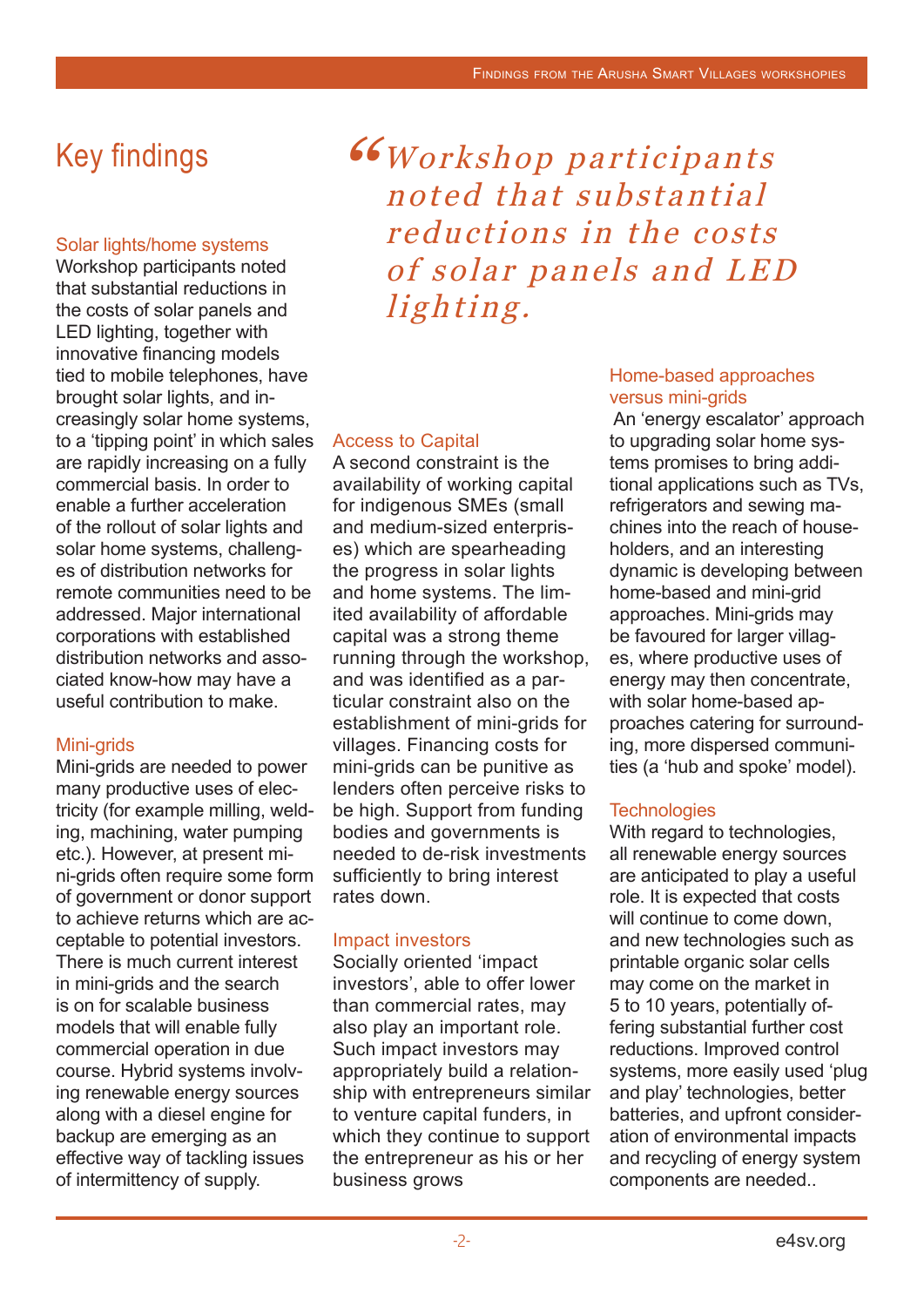# Key findings

## Solar lights/home systems

Workshop participants noted that substantial reductions in the costs of solar panels and LED lighting, together with innovative financing models tied to mobile telephones, have brought solar lights, and increasingly solar home systems, to a 'tipping point' in which sales are rapidly increasing on a fully commercial basis. In order to enable a further acceleration of the rollout of solar lights and solar home systems, challenges of distribution networks for remote communities need to be addressed. Major international corporations with established distribution networks and associated know-how may have a useful contribution to make.

#### Mini-grids

Mini-grids are needed to power many productive uses of electricity (for example milling, welding, machining, water pumping etc.). However, at present mini-grids often require some form of government or donor support to achieve returns which are acceptable to potential investors. There is much current interest in mini-grids and the search is on for scalable business models that will enable fully commercial operation in due course. Hybrid systems involving renewable energy sources along with a diesel engine for backup are emerging as an effective way of tackling issues of intermittency of supply.

"Workshop participants noted that substantial reductions in the costs of solar panels and LED lighting.

#### Access to Capital

A second constraint is the availability of working capital for indigenous SMEs (small and medium-sized enterprises) which are spearheading the progress in solar lights and home systems. The limited availability of affordable capital was a strong theme running through the workshop, and was identified as a particular constraint also on the establishment of mini-grids for villages. Financing costs for mini-grids can be punitive as lenders often perceive risks to be high. Support from funding bodies and governments is needed to de-risk investments sufficiently to bring interest rates down.

#### Impact investors

Socially oriented 'impact investors', able to offer lower than commercial rates, may also play an important role. Such impact investors may appropriately build a relationship with entrepreneurs similar to venture capital funders, in which they continue to support the entrepreneur as his or her business grows

#### Home-based approaches versus mini-grids

 An 'energy escalator' approach to upgrading solar home systems promises to bring additional applications such as TVs, refrigerators and sewing machines into the reach of householders, and an interesting dynamic is developing between home-based and mini-grid approaches. Mini-grids may be favoured for larger villages, where productive uses of energy may then concentrate, with solar home-based approaches catering for surrounding, more dispersed communities (a 'hub and spoke' model).

#### **Technologies**

With regard to technologies, all renewable energy sources are anticipated to play a useful role. It is expected that costs will continue to come down. and new technologies such as printable organic solar cells may come on the market in 5 to 10 years, potentially offering substantial further cost reductions. Improved control systems, more easily used 'plug and play' technologies, better batteries, and upfront consideration of environmental impacts and recycling of energy system components are needed..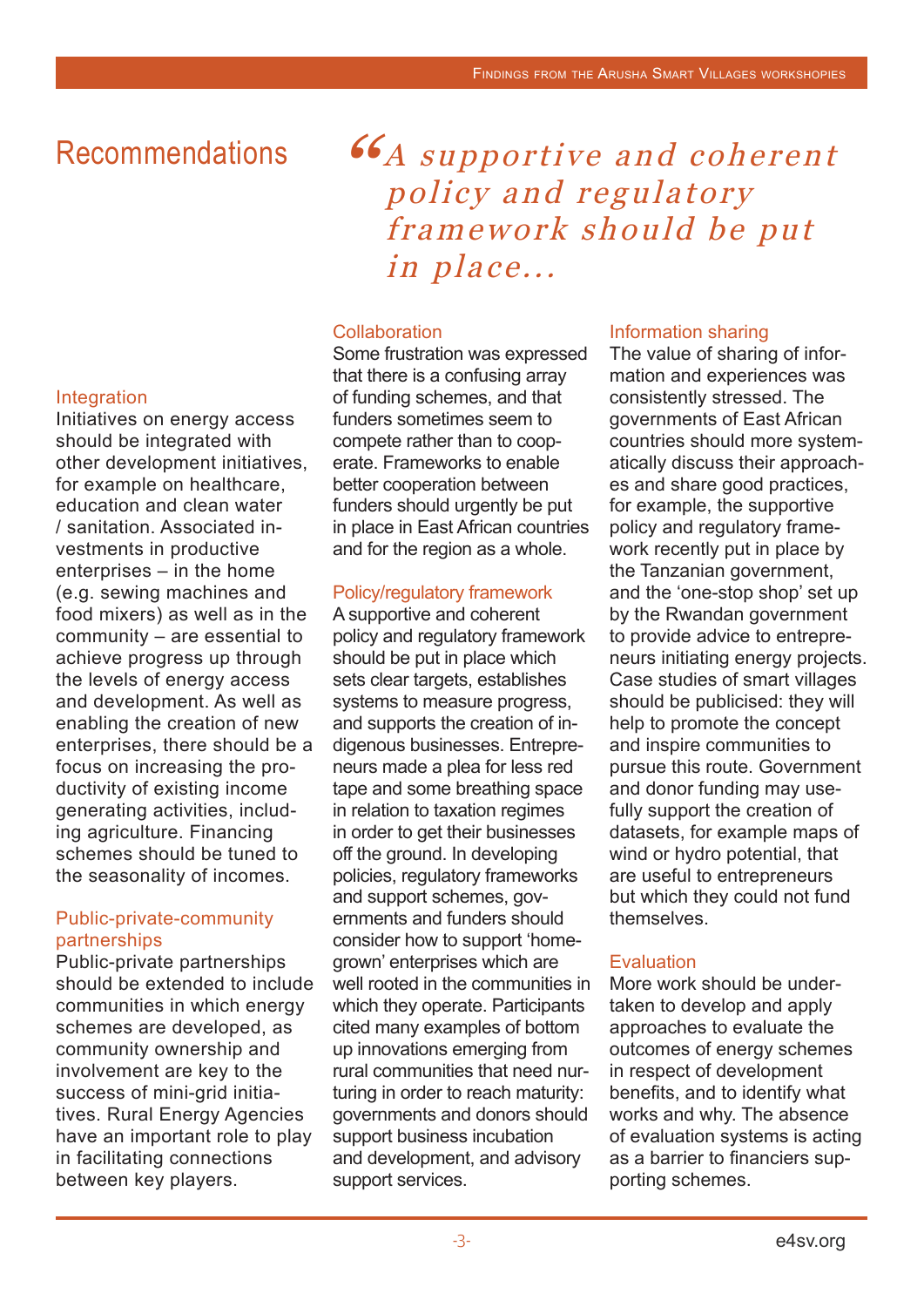# Recommendations

66A supportive and coherent policy and regulatory framework should be put in place...

# **Collaboration**

Some frustration was expressed that there is a confusing array of funding schemes, and that funders sometimes seem to compete rather than to cooperate. Frameworks to enable better cooperation between funders should urgently be put in place in East African countries and for the region as a whole.

## Policy/regulatory framework

A supportive and coherent policy and regulatory framework should be put in place which sets clear targets, establishes systems to measure progress, and supports the creation of indigenous businesses. Entrepreneurs made a plea for less red tape and some breathing space in relation to taxation regimes in order to get their businesses off the ground. In developing policies, regulatory frameworks and support schemes, governments and funders should consider how to support 'homegrown' enterprises which are well rooted in the communities in which they operate. Participants cited many examples of bottom up innovations emerging from rural communities that need nurturing in order to reach maturity: governments and donors should support business incubation and development, and advisory support services.

# Information sharing

The value of sharing of information and experiences was consistently stressed. The governments of East African countries should more systematically discuss their approaches and share good practices, for example, the supportive policy and regulatory framework recently put in place by the Tanzanian government, and the 'one-stop shop' set up by the Rwandan government to provide advice to entrepreneurs initiating energy projects. Case studies of smart villages should be publicised: they will help to promote the concept and inspire communities to pursue this route. Government and donor funding may usefully support the creation of datasets, for example maps of wind or hydro potential, that are useful to entrepreneurs but which they could not fund themselves.

## Evaluation

More work should be undertaken to develop and apply approaches to evaluate the outcomes of energy schemes in respect of development benefits, and to identify what works and why. The absence of evaluation systems is acting as a barrier to financiers supporting schemes.

# Integration

Initiatives on energy access should be integrated with other development initiatives, for example on healthcare, education and clean water / sanitation. Associated investments in productive enterprises – in the home (e.g. sewing machines and food mixers) as well as in the community – are essential to achieve progress up through the levels of energy access and development. As well as enabling the creation of new enterprises, there should be a focus on increasing the productivity of existing income generating activities, including agriculture. Financing schemes should be tuned to the seasonality of incomes.

# Public-private-community partnerships

Public-private partnerships should be extended to include communities in which energy schemes are developed, as community ownership and involvement are key to the success of mini-grid initiatives. Rural Energy Agencies have an important role to play in facilitating connections between key players.